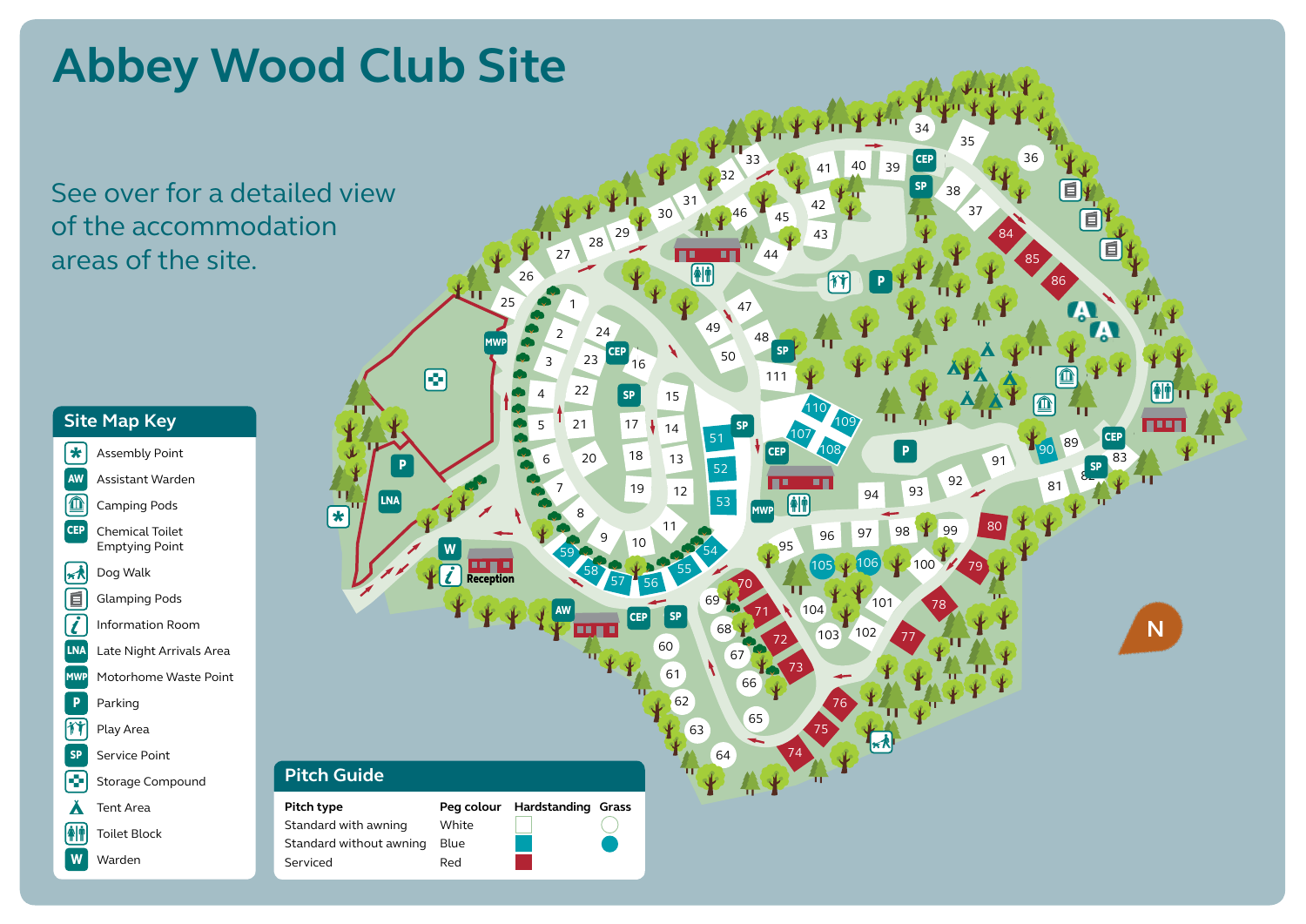